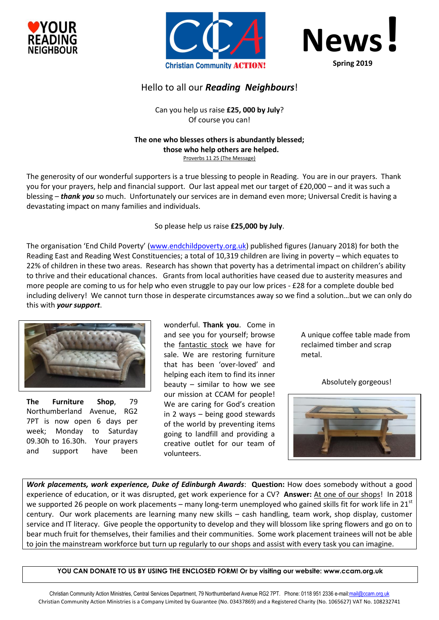





# Hello to all our *Reading Neighbours*!

Can you help us raise **£25, 000 by July**? Of course you can!

### **The one who blesses others is abundantly blessed; those who help others are helped.** Proverbs 11 25 (The Message)

The generosity of our wonderful supporters is a true blessing to people in Reading. You are in our prayers. Thank you for your prayers, help and financial support. Our last appeal met our target of £20,000 – and it was such a blessing – *thank you* so much. Unfortunately our services are in demand even more; Universal Credit is having a devastating impact on many families and individuals.

## So please help us raise **£25,000 by July**.

The organisation 'End Child Poverty' ([www.endchildpoverty.org.uk\)](http://www.endchildpoverty.org.uk/) published figures (January 2018) for both the Reading East and Reading West Constituencies; a total of 10,319 children are living in poverty – which equates to 22% of children in these two areas. Research has shown that poverty has a detrimental impact on children's ability to thrive and their educational chances. Grants from local authorities have ceased due to austerity measures and more people are coming to us for help who even struggle to pay our low prices - £28 for a complete double bed including delivery! We cannot turn those in desperate circumstances away so we find a solution…but we can only do this with *your support*.



**The Furniture Shop**, 79 Northumberland Avenue, RG2 7PT is now open 6 days per week; Monday to Saturday 09.30h to 16.30h. Your prayers and support have been

wonderful. **Thank you**. Come in and see you for yourself; browse the fantastic stock we have for sale. We are restoring furniture that has been 'over-loved' and helping each item to find its inner beauty – similar to how we see our mission at CCAM for people! We are caring for God's creation in 2 ways – being good stewards of the world by preventing items going to landfill and providing a creative outlet for our team of volunteers.

A unique coffee table made from reclaimed timber and scrap metal.

Absolutely gorgeous!



*Work placements, work experience, Duke of Edinburgh Awards*: **Question:** How does somebody without a good experience of education, or it was disrupted, get work experience for a CV? **Answer:** At one of our shops! In 2018 we supported 26 people on work placements – many long-term unemployed who gained skills fit for work life in  $21^{st}$ century. Our work placements are learning many new skills – cash handling, team work, shop display, customer service and IT literacy. Give people the opportunity to develop and they will blossom like spring flowers and go on to bear much fruit for themselves, their families and their communities. Some work placement trainees will not be able to join the mainstream workforce but turn up regularly to our shops and assist with every task you can imagine.

**YOU CAN DONATE TO US BY USING THE ENCLOSED FORM! Or by visiting our website: www.ccam.org.uk**

Christian Community Action Ministries, Central Services Department, 79 Northumberland Avenue RG2 7PT. Phone: 0118 951 2336 e-mai[l:mail@ccam.org.uk](mailto:mail@ccam.org.uk) Christian Community Action Ministries is a Company Limited by Guarantee (No. 03437869) and a Registered Charity (No. 1065627) VAT No. 108232741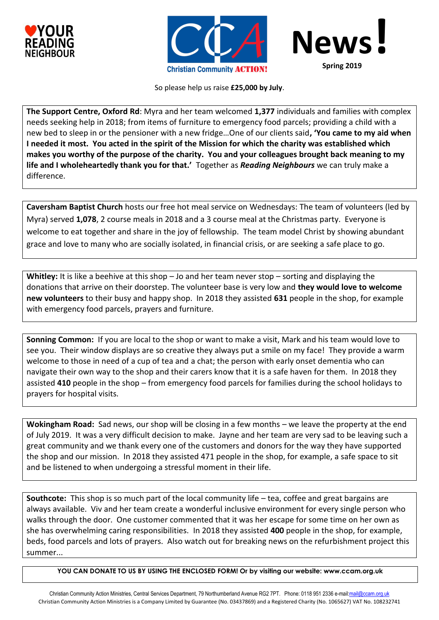





So please help us raise **£25,000 by July**.

**The Support Centre, Oxford Rd**: Myra and her team welcomed **1,377** individuals and families with complex needs seeking help in 2018; from items of furniture to emergency food parcels; providing a child with a new bed to sleep in or the pensioner with a new fridge…One of our clients said**, 'You came to my aid when I needed it most. You acted in the spirit of the Mission for which the charity was established which makes you worthy of the purpose of the charity. You and your colleagues brought back meaning to my life and I wholeheartedly thank you for that.'** Together as *Reading Neighbours* we can truly make a difference.

**Caversham Baptist Church** hosts our free hot meal service on Wednesdays: The team of volunteers (led by Myra) served **1,078**, 2 course meals in 2018 and a 3 course meal at the Christmas party. Everyone is welcome to eat together and share in the joy of fellowship. The team model Christ by showing abundant grace and love to many who are socially isolated, in financial crisis, or are seeking a safe place to go.

**Whitley:** It is like a beehive at this shop – Jo and her team never stop – sorting and displaying the donations that arrive on their doorstep. The volunteer base is very low and **they would love to welcome new volunteers** to their busy and happy shop. In 2018 they assisted **631** people in the shop, for example with emergency food parcels, prayers and furniture.

**Sonning Common:** If you are local to the shop or want to make a visit, Mark and his team would love to see you. Their window displays are so creative they always put a smile on my face! They provide a warm welcome to those in need of a cup of tea and a chat; the person with early onset dementia who can navigate their own way to the shop and their carers know that it is a safe haven for them. In 2018 they assisted **410** people in the shop – from emergency food parcels for families during the school holidays to prayers for hospital visits.

**Wokingham Road:** Sad news, our shop will be closing in a few months – we leave the property at the end of July 2019. It was a very difficult decision to make. Jayne and her team are very sad to be leaving such a great community and we thank every one of the customers and donors for the way they have supported the shop and our mission. In 2018 they assisted 471 people in the shop, for example, a safe space to sit and be listened to when undergoing a stressful moment in their life.

**Southcote:** This shop is so much part of the local community life – tea, coffee and great bargains are always available. Viv and her team create a wonderful inclusive environment for every single person who walks through the door. One customer commented that it was her escape for some time on her own as she has overwhelming caring responsibilities. In 2018 they assisted **400** people in the shop, for example, beds, food parcels and lots of prayers. Also watch out for breaking news on the refurbishment project this summer...

**YOU CAN DONATE TO US BY USING THE ENCLOSED FORM! Or by visiting our website: www.ccam.org.uk**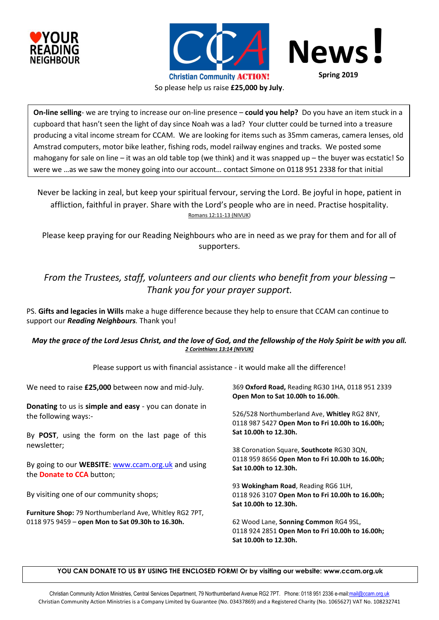





**Spring 2019**

So please help us raise **£25,000 by July**.

**On-line selling**- we are trying to increase our on-line presence – **could you help?** Do you have an item stuck in a cupboard that hasn't seen the light of day since Noah was a lad? Your clutter could be turned into a treasure producing a vital income stream for CCAM. We are looking for items such as 35mm cameras, camera lenses, old Amstrad computers, motor bike leather, fishing rods, model railway engines and tracks. We posted some mahogany for sale on line – it was an old table top (we think) and it was snapped up – the buyer was ecstatic! So were we …as we saw the money going into our account… contact Simone on 0118 951 2338 for that initial

Never be lacking in zeal, but keep your spiritual fervour, serving the Lord. Be joyful in hope, patient in affliction, faithful in prayer. Share with the Lord's people who are in need. Practise hospitality. Romans 12:11-13 (NIVUK)

Please keep praying for our Reading Neighbours who are in need as we pray for them and for all of supporters.

# *From the Trustees, staff, volunteers and our clients who benefit from your blessing – Thank you for your prayer support.*

PS. **Gifts and legacies in Wills** make a huge difference because they help to ensure that CCAM can continue to support our *Reading Neighbours.* Thank you!

## *May the grace of the Lord Jesus Christ, and the love of God, and the fellowship of the Holy Spirit be with you all. 2 Corinthians 13:14 (NIVUK)*

Please support us with financial assistance - it would make all the difference!

| We need to raise £25,000 between now and mid-July.        | 369 Oxford Road, Reading RG30 1HA, 0118 951 2339                                                |  |  |  |
|-----------------------------------------------------------|-------------------------------------------------------------------------------------------------|--|--|--|
|                                                           | Open Mon to Sat 10.00h to 16.00h.                                                               |  |  |  |
| Donating to us is simple and easy - you can donate in     |                                                                                                 |  |  |  |
| the following ways:-                                      | 526/528 Northumberland Ave, Whitley RG2 8NY,<br>0118 987 5427 Open Mon to Fri 10.00h to 16.00h; |  |  |  |
|                                                           |                                                                                                 |  |  |  |
| By <b>POST</b> , using the form on the last page of this  | Sat 10.00h to 12.30h.                                                                           |  |  |  |
| newsletter;                                               |                                                                                                 |  |  |  |
|                                                           | 38 Coronation Square, <b>Southcote</b> RG30 3QN,                                                |  |  |  |
| By going to our <b>WEBSITE:</b> www.ccam.org.uk and using | 0118 959 8656 Open Mon to Fri 10.00h to 16.00h;                                                 |  |  |  |
| the <b>Donate to CCA</b> button;                          | Sat 10.00h to 12.30h.                                                                           |  |  |  |
|                                                           | 93 Wokingham Road, Reading RG6 1LH,                                                             |  |  |  |
| By visiting one of our community shops;                   | 0118 926 3107 Open Mon to Fri 10.00h to 16.00h;                                                 |  |  |  |
|                                                           | Sat 10.00h to 12.30h.                                                                           |  |  |  |
| Furniture Shop: 79 Northumberland Ave, Whitley RG2 7PT,   |                                                                                                 |  |  |  |
| 0118 975 9459 - open Mon to Sat 09.30h to 16.30h.         | 62 Wood Lane, Sonning Common RG4 9SL,                                                           |  |  |  |
|                                                           | 0118 924 2851 Open Mon to Fri 10.00h to 16.00h;                                                 |  |  |  |
|                                                           | Sat 10.00h to 12.30h.                                                                           |  |  |  |
|                                                           |                                                                                                 |  |  |  |

### **YOU CAN DONATE TO US BY USING THE ENCLOSED FORM! Or by visiting our website: www.ccam.org.uk**